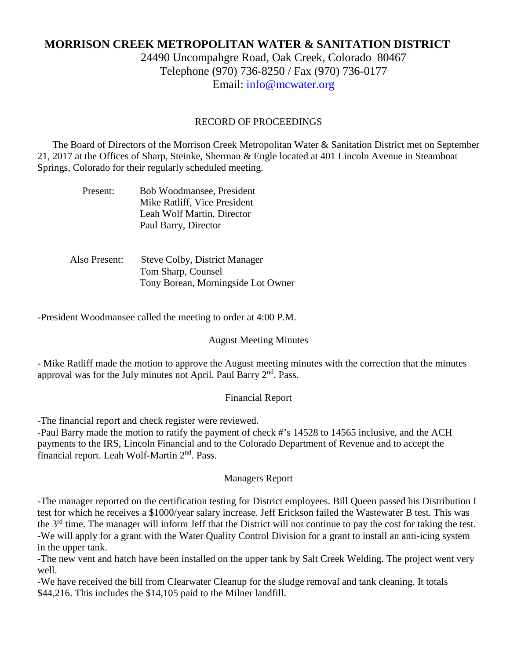# **MORRISON CREEK METROPOLITAN WATER & SANITATION DISTRICT**

24490 Uncompahgre Road, Oak Creek, Colorado 80467 Telephone (970) 736-8250 / Fax (970) 736-0177 Email: [info@mcwater.org](mailto:info@mcwater.org)

### RECORD OF PROCEEDINGS

 The Board of Directors of the Morrison Creek Metropolitan Water & Sanitation District met on September 21, 2017 at the Offices of Sharp, Steinke, Sherman & Engle located at 401 Lincoln Avenue in Steamboat Springs, Colorado for their regularly scheduled meeting.

| Present: | Bob Woodmansee, President    |
|----------|------------------------------|
|          | Mike Ratliff, Vice President |
|          | Leah Wolf Martin, Director   |
|          | Paul Barry, Director         |

| Also Present: | <b>Steve Colby, District Manager</b> |
|---------------|--------------------------------------|
|               | Tom Sharp, Counsel                   |
|               | Tony Borean, Morningside Lot Owner   |

-President Woodmansee called the meeting to order at 4:00 P.M.

#### August Meeting Minutes

- Mike Ratliff made the motion to approve the August meeting minutes with the correction that the minutes approval was for the July minutes not April. Paul Barry 2<sup>nd</sup>. Pass.

#### Financial Report

-The financial report and check register were reviewed.

-Paul Barry made the motion to ratify the payment of check #'s 14528 to 14565 inclusive, and the ACH payments to the IRS, Lincoln Financial and to the Colorado Department of Revenue and to accept the financial report. Leah Wolf-Martin 2<sup>nd</sup>. Pass.

#### Managers Report

-The manager reported on the certification testing for District employees. Bill Queen passed his Distribution I test for which he receives a \$1000/year salary increase. Jeff Erickson failed the Wastewater B test. This was the 3<sup>rd</sup> time. The manager will inform Jeff that the District will not continue to pay the cost for taking the test. -We will apply for a grant with the Water Quality Control Division for a grant to install an anti-icing system in the upper tank.

-The new vent and hatch have been installed on the upper tank by Salt Creek Welding. The project went very well.

-We have received the bill from Clearwater Cleanup for the sludge removal and tank cleaning. It totals \$44,216. This includes the \$14,105 paid to the Milner landfill.